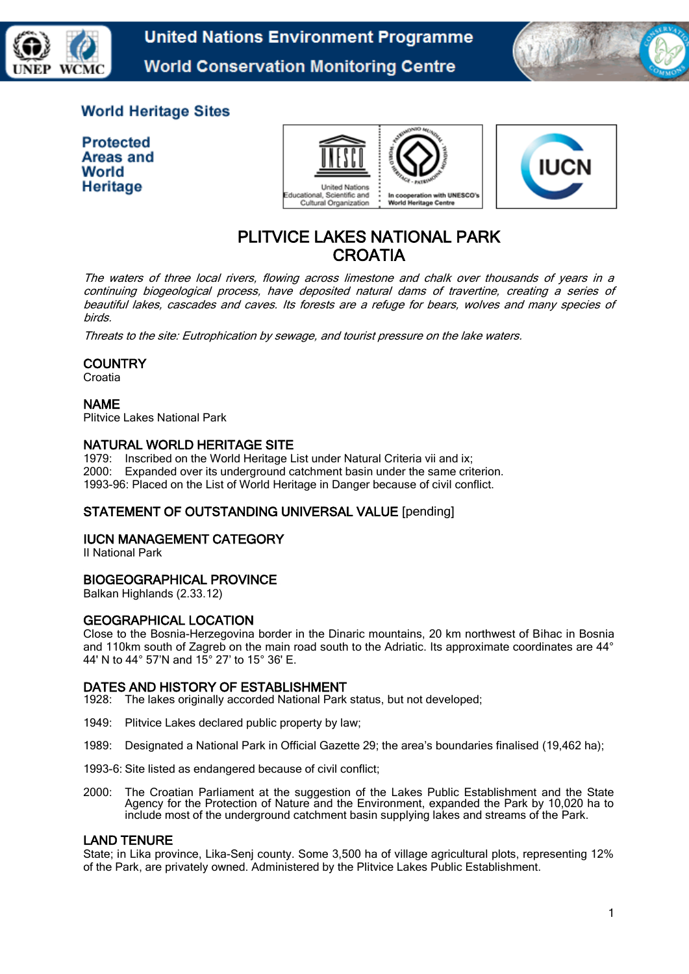

**United Nations Environment Programme World Conservation Monitoring Centre** 



# **World Heritage Sites**

**Protected** Areas and World **Heritage** 





# PLITVICE LAKES NATIONAL PARK **CROATIA**

The waters of three local rivers, flowing across limestone and chalk over thousands of years in a continuing biogeological process, have deposited natural dams of travertine, creating a series of beautiful lakes, cascades and caves. Its forests are a refuge for bears, wolves and many species of birds.

Threats to the site: Eutrophication by sewage, and tourist pressure on the lake waters.

# **COUNTRY**

Croatia

#### NAME

Plitvice Lakes National Park

#### NATURAL WORLD HERITAGE SITE

1979: Inscribed on the World Heritage List under Natural Criteria vii and ix; 2000: Expanded over its underground catchment basin under the same criterion. 1993-96: Placed on the List of World Heritage in Danger because of civil conflict.

# STATEMENT OF OUTSTANDING UNIVERSAL VALUE [pending]

# IUCN MANAGEMENT CATEGORY

II National Park

# BIOGEOGRAPHICAL PROVINCE

Balkan Highlands (2.33.12)

#### GEOGRAPHICAL LOCATION

Close to the Bosnia-Herzegovina border in the Dinaric mountains, 20 km northwest of Bihac in Bosnia and 110km south of Zagreb on the main road south to the Adriatic. Its approximate coordinates are 44° 44' N to 44° 57'N and 15° 27' to 15° 36' E.

# **DATES AND HISTORY OF ESTABLISHMENT**<br>1928: The lakes originally accorded National Park

The lakes originally accorded National Park status, but not developed;

- 1949: Plitvice Lakes declared public property by law;
- 1989: Designated a National Park in Official Gazette 29; the area's boundaries finalised (19,462 ha);
- 1993-6: Site listed as endangered because of civil conflict;
- 2000: The Croatian Parliament at the suggestion of the Lakes Public Establishment and the State Agency for the Protection of Nature and the Environment, expanded the Park by 10,020 ha to include most of the underground catchment basin supplying lakes and streams of the Park.

#### LAND TENURE

State; in Lika province, Lika-Senj county. Some 3,500 ha of village agricultural plots, representing 12% of the Park, are privately owned. Administered by the Plitvice Lakes Public Establishment.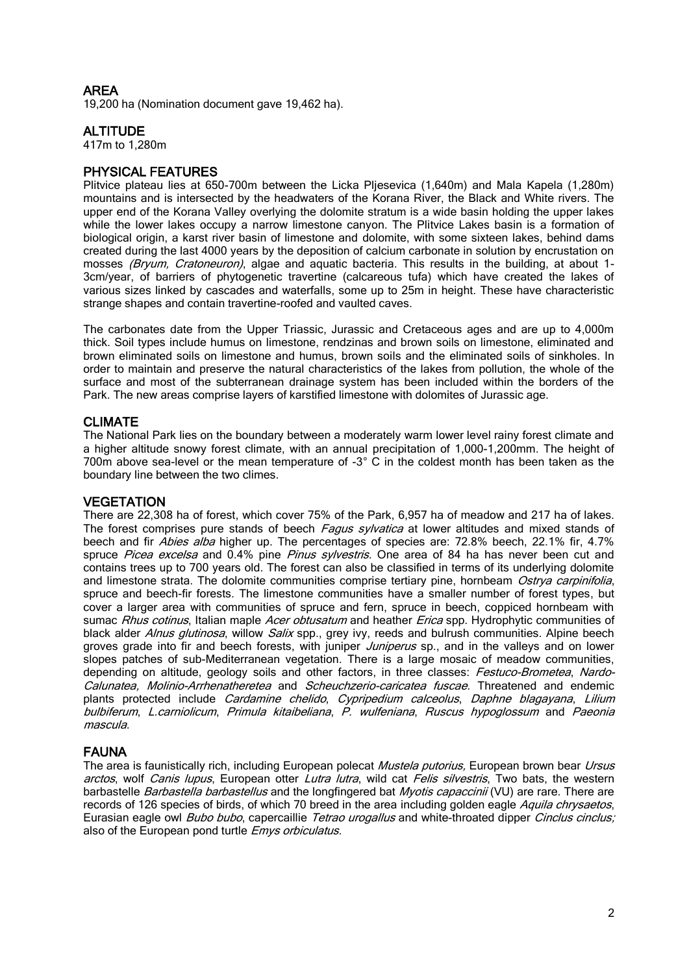# AREA

19,200 ha (Nomination document gave 19,462 ha).

# **ALTITUDE**

417m to 1,280m

# PHYSICAL FEATURES

Plitvice plateau lies at 650-700m between the Licka Pljesevica (1,640m) and Mala Kapela (1,280m) mountains and is intersected by the headwaters of the Korana River, the Black and White rivers. The upper end of the Korana Valley overlying the dolomite stratum is a wide basin holding the upper lakes while the lower lakes occupy a narrow limestone canyon. The Plitvice Lakes basin is a formation of biological origin, a karst river basin of limestone and dolomite, with some sixteen lakes, behind dams created during the last 4000 years by the deposition of calcium carbonate in solution by encrustation on mosses (Bryum, Cratoneuron), algae and aquatic bacteria. This results in the building, at about 1-3cm/year, of barriers of phytogenetic travertine (calcareous tufa) which have created the lakes of various sizes linked by cascades and waterfalls, some up to 25m in height. These have characteristic strange shapes and contain travertine-roofed and vaulted caves.

The carbonates date from the Upper Triassic, Jurassic and Cretaceous ages and are up to 4,000m thick. Soil types include humus on limestone, rendzinas and brown soils on limestone, eliminated and brown eliminated soils on limestone and humus, brown soils and the eliminated soils of sinkholes. In order to maintain and preserve the natural characteristics of the lakes from pollution, the whole of the surface and most of the subterranean drainage system has been included within the borders of the Park. The new areas comprise layers of karstified limestone with dolomites of Jurassic age.

# CLIMATE

The National Park lies on the boundary between a moderately warm lower level rainy forest climate and a higher altitude snowy forest climate, with an annual precipitation of 1,000-1,200mm. The height of 700m above sea-level or the mean temperature of -3° C in the coldest month has been taken as the boundary line between the two climes.

# **VEGETATION**

There are 22,308 ha of forest, which cover 75% of the Park, 6,957 ha of meadow and 217 ha of lakes. The forest comprises pure stands of beech *Fagus sylvatica* at lower altitudes and mixed stands of beech and fir *Abies alba* higher up. The percentages of species are: 72.8% beech, 22.1% fir, 4.7% spruce Picea excelsa and 0.4% pine Pinus sylvestris. One area of 84 ha has never been cut and contains trees up to 700 years old. The forest can also be classified in terms of its underlying dolomite and limestone strata. The dolomite communities comprise tertiary pine, hornbeam Ostrva carpinifolia, spruce and beech-fir forests. The limestone communities have a smaller number of forest types, but cover a larger area with communities of spruce and fern, spruce in beech, coppiced hornbeam with sumac Rhus cotinus, Italian maple Acer obtusatum and heather Erica spp. Hydrophytic communities of black alder Alnus glutinosa, willow Salix spp., grey ivy, reeds and bulrush communities. Alpine beech groves grade into fir and beech forests, with juniper *Juniperus* sp., and in the valleys and on lower slopes patches of sub-Mediterranean vegetation. There is a large mosaic of meadow communities, depending on altitude, geology soils and other factors, in three classes: Festuco-Brometea, Nardo-Calunatea, Molinio-Arrhenatheretea and Scheuchzerio-caricatea fuscae. Threatened and endemic plants protected include Cardamine chelido, Cypripedium calceolus, Daphne blagayana, Lilium bulbiferum, L.carniolicum, Primula kitaibeliana, P. wulfeniana, Ruscus hypoglossum and Paeonia mascula.

# FAUNA

The area is faunistically rich, including European polecat Mustela putorius, European brown bear Ursus arctos, wolf Canis lupus, European otter Lutra lutra, wild cat Felis silvestris, Two bats, the western barbastelle *Barbastella barbastellus* and the longfingered bat *Myotis capaccinii* (VU) are rare. There are records of 126 species of birds, of which 70 breed in the area including golden eagle Aquila chrysaetos, Eurasian eagle owl *Bubo bubo*, capercaillie Tetrao urogallus and white-throated dipper Cinclus cinclus; also of the European pond turtle *Emys orbiculatus*.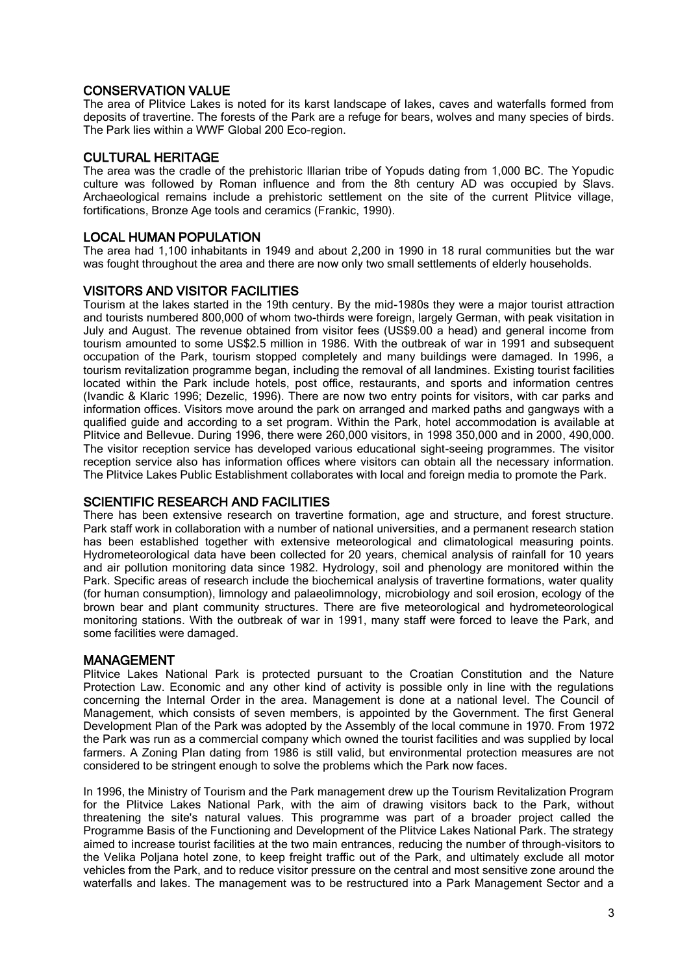# CONSERVATION VALUE

The area of Plitvice Lakes is noted for its karst landscape of lakes, caves and waterfalls formed from deposits of travertine. The forests of the Park are a refuge for bears, wolves and many species of birds. The Park lies within a WWF Global 200 Eco-region.

# CULTURAL HERITAGE

The area was the cradle of the prehistoric Illarian tribe of Yopuds dating from 1,000 BC. The Yopudic culture was followed by Roman influence and from the 8th century AD was occupied by Slavs. Archaeological remains include a prehistoric settlement on the site of the current Plitvice village, fortifications, Bronze Age tools and ceramics (Frankic, 1990).

# LOCAL HUMAN POPULATION

The area had 1,100 inhabitants in 1949 and about 2,200 in 1990 in 18 rural communities but the war was fought throughout the area and there are now only two small settlements of elderly households.

# VISITORS AND VISITOR FACILITIES

Tourism at the lakes started in the 19th century. By the mid-1980s they were a major tourist attraction and tourists numbered 800,000 of whom two-thirds were foreign, largely German, with peak visitation in July and August. The revenue obtained from visitor fees (US\$9.00 a head) and general income from tourism amounted to some US\$2.5 million in 1986. With the outbreak of war in 1991 and subsequent occupation of the Park, tourism stopped completely and many buildings were damaged. In 1996, a tourism revitalization programme began, including the removal of all landmines. Existing tourist facilities located within the Park include hotels, post office, restaurants, and sports and information centres (Ivandic & Klaric 1996; Dezelic, 1996). There are now two entry points for visitors, with car parks and information offices. Visitors move around the park on arranged and marked paths and gangways with a qualified guide and according to a set program. Within the Park, hotel accommodation is available at Plitvice and Bellevue. During 1996, there were 260,000 visitors, in 1998 350,000 and in 2000, 490,000. The visitor reception service has developed various educational sight-seeing programmes. The visitor reception service also has information offices where visitors can obtain all the necessary information. The Plitvice Lakes Public Establishment collaborates with local and foreign media to promote the Park.

# SCIENTIFIC RESEARCH AND FACILITIES

There has been extensive research on travertine formation, age and structure, and forest structure. Park staff work in collaboration with a number of national universities, and a permanent research station has been established together with extensive meteorological and climatological measuring points. Hydrometeorological data have been collected for 20 years, chemical analysis of rainfall for 10 years and air pollution monitoring data since 1982. Hydrology, soil and phenology are monitored within the Park. Specific areas of research include the biochemical analysis of travertine formations, water quality (for human consumption), limnology and palaeolimnology, microbiology and soil erosion, ecology of the brown bear and plant community structures. There are five meteorological and hydrometeorological monitoring stations. With the outbreak of war in 1991, many staff were forced to leave the Park, and some facilities were damaged.

#### MANAGEMENT

Plitvice Lakes National Park is protected pursuant to the Croatian Constitution and the Nature Protection Law. Economic and any other kind of activity is possible only in line with the regulations concerning the Internal Order in the area. Management is done at a national level. The Council of Management, which consists of seven members, is appointed by the Government. The first General Development Plan of the Park was adopted by the Assembly of the local commune in 1970. From 1972 the Park was run as a commercial company which owned the tourist facilities and was supplied by local farmers. A Zoning Plan dating from 1986 is still valid, but environmental protection measures are not considered to be stringent enough to solve the problems which the Park now faces.

In 1996, the Ministry of Tourism and the Park management drew up the Tourism Revitalization Program for the Plitvice Lakes National Park, with the aim of drawing visitors back to the Park, without threatening the site's natural values. This programme was part of a broader project called the Programme Basis of the Functioning and Development of the Plitvice Lakes National Park. The strategy aimed to increase tourist facilities at the two main entrances, reducing the number of through-visitors to the Velika Poljana hotel zone, to keep freight traffic out of the Park, and ultimately exclude all motor vehicles from the Park, and to reduce visitor pressure on the central and most sensitive zone around the waterfalls and lakes. The management was to be restructured into a Park Management Sector and a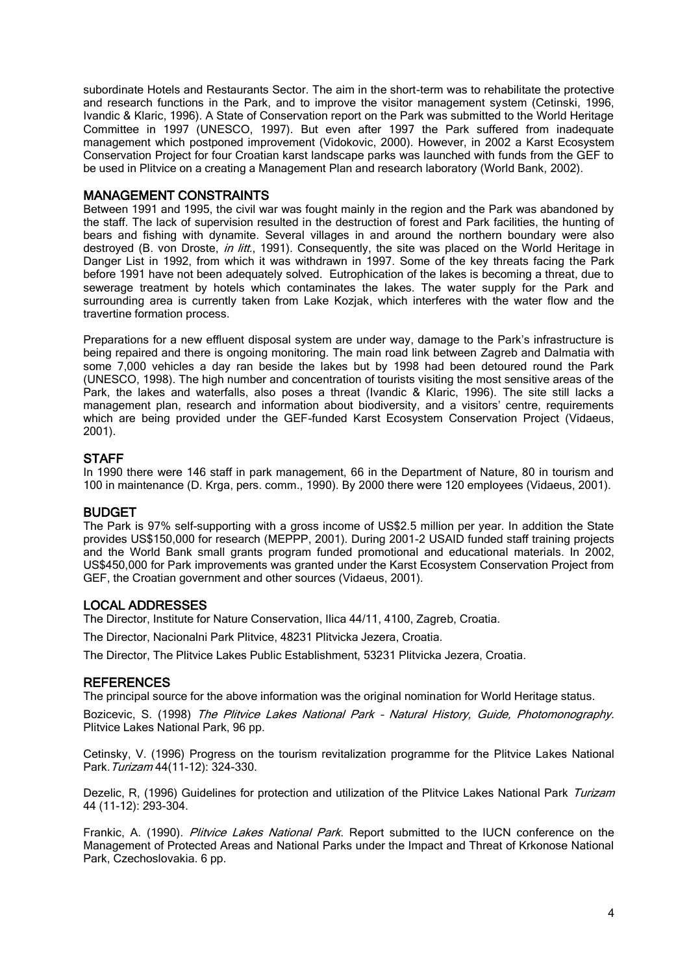subordinate Hotels and Restaurants Sector. The aim in the short-term was to rehabilitate the protective and research functions in the Park, and to improve the visitor management system (Cetinski, 1996, Ivandic & Klaric, 1996). A State of Conservation report on the Park was submitted to the World Heritage Committee in 1997 (UNESCO, 1997). But even after 1997 the Park suffered from inadequate management which postponed improvement (Vidokovic, 2000). However, in 2002 a Karst Ecosystem Conservation Project for four Croatian karst landscape parks was launched with funds from the GEF to be used in Plitvice on a creating a Management Plan and research laboratory (World Bank, 2002).

#### MANAGEMENT CONSTRAINTS

Between 1991 and 1995, the civil war was fought mainly in the region and the Park was abandoned by the staff. The lack of supervision resulted in the destruction of forest and Park facilities, the hunting of bears and fishing with dynamite. Several villages in and around the northern boundary were also destroyed (B. von Droste, *in litt.*, 1991). Consequently, the site was placed on the World Heritage in Danger List in 1992, from which it was withdrawn in 1997. Some of the key threats facing the Park before 1991 have not been adequately solved. Eutrophication of the lakes is becoming a threat, due to sewerage treatment by hotels which contaminates the lakes. The water supply for the Park and surrounding area is currently taken from Lake Koziak, which interferes with the water flow and the travertine formation process.

Preparations for a new effluent disposal system are under way, damage to the Park's infrastructure is being repaired and there is ongoing monitoring. The main road link between Zagreb and Dalmatia with some 7,000 vehicles a day ran beside the lakes but by 1998 had been detoured round the Park (UNESCO, 1998). The high number and concentration of tourists visiting the most sensitive areas of the Park, the lakes and waterfalls, also poses a threat (Ivandic & Klaric, 1996). The site still lacks a management plan, research and information about biodiversity, and a visitors' centre, requirements which are being provided under the GEF-funded Karst Ecosystem Conservation Project (Vidaeus, 2001).

#### **STAFF**

In 1990 there were 146 staff in park management, 66 in the Department of Nature, 80 in tourism and 100 in maintenance (D. Krga, pers. comm., 1990). By 2000 there were 120 employees (Vidaeus, 2001).

#### BUDGET

The Park is 97% self-supporting with a gross income of US\$2.5 million per year. In addition the State provides US\$150,000 for research (MEPPP, 2001). During 2001-2 USAID funded staff training projects and the World Bank small grants program funded promotional and educational materials. In 2002, US\$450,000 for Park improvements was granted under the Karst Ecosystem Conservation Project from GEF, the Croatian government and other sources (Vidaeus, 2001).

#### LOCAL ADDRESSES

The Director, Institute for Nature Conservation, Ilica 44/11, 4100, Zagreb, Croatia.

The Director, Nacionalni Park Plitvice, 48231 Plitvicka Jezera, Croatia.

The Director, The Plitvice Lakes Public Establishment, 53231 Plitvicka Jezera, Croatia.

#### **REFERENCES**

The principal source for the above information was the original nomination for World Heritage status.

Bozicevic, S. (1998) The Plitvice Lakes National Park - Natural History, Guide, Photomonography. Plitvice Lakes National Park, 96 pp.

Cetinsky, V. (1996) Progress on the tourism revitalization programme for the Plitvice Lakes National Park. Turizam 44(11-12): 324-330.

Dezelic, R, (1996) Guidelines for protection and utilization of the Plitvice Lakes National Park Turizam 44 (11-12): 293-304.

Frankic, A. (1990). *Plitvice Lakes National Park*. Report submitted to the IUCN conference on the Management of Protected Areas and National Parks under the Impact and Threat of Krkonose National Park, Czechoslovakia. 6 pp.